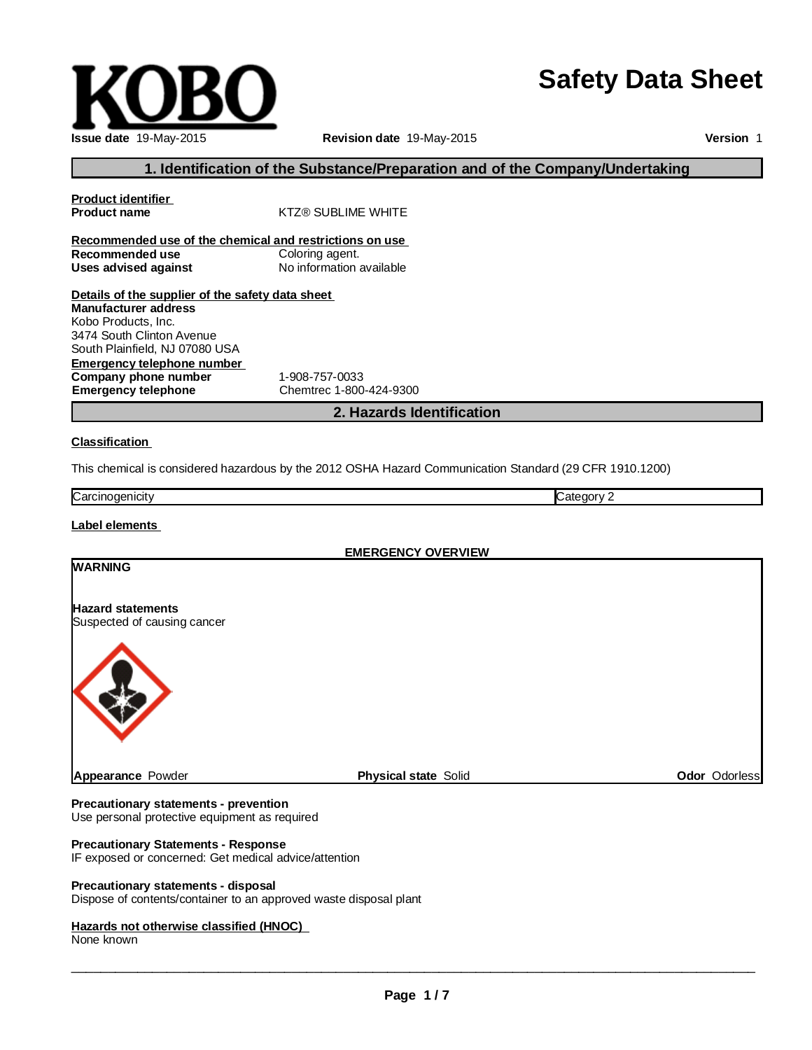# **Safety Data Sheet**

**Company phone number** 1-908-757-0033<br> **Emergency telephone** Chemtrec 1-800

**Recommended use of the chemical and restrictions on use Recommended use** Coloring agent.<br> **Uses advised against** No information available

**Details of the supplier of the safety data sheet**

This chemical is considered hazardous by the 2012 OSHA Hazard Communication Standard (29 CFR 1910.1200)

**Emergency telephone** Chemtrec 1-800-424-9300

**Product name** KTZ® SUBLIME WHITE

Carcinogenicity Category 2

**Classification**

**Product identifier**

**Uses advised against** 

**Manufacturer address** Kobo Products, Inc. 3474 South Clinton Avenue South Plainfield, NJ 07080 USA

**Emergency telephone number**

**Label elements**

**EMERGENCY OVERVIEW**

**2. Hazards Identification**

**1. Identification of the Substance/Preparation and of the Company/Undertaking**

**Revision date** 19-May-2015

# **WARNING Hazard statements** Suspected of causing cancer

#### **Precautionary statements - prevention**

Use personal protective equipment as required

#### **Precautionary Statements - Response**

IF exposed or concerned: Get medical advice/attention

#### **Precautionary statements - disposal**

Dispose of contents/container to an approved waste disposal plant

#### **Hazards not otherwise classified (HNOC)**

None known

\_\_\_\_\_\_\_\_\_\_\_\_\_\_\_\_\_\_\_\_\_\_\_\_\_\_\_\_\_\_\_\_\_\_\_\_\_\_\_\_\_\_\_\_\_\_\_\_\_\_\_\_\_\_\_\_\_\_\_\_\_\_\_\_\_\_\_\_\_\_\_\_\_\_\_\_\_\_\_\_\_\_\_\_\_\_\_\_\_\_\_\_\_

**Appearance** Powder **Physical state** Solid **Odor** Odorless



**Version** 1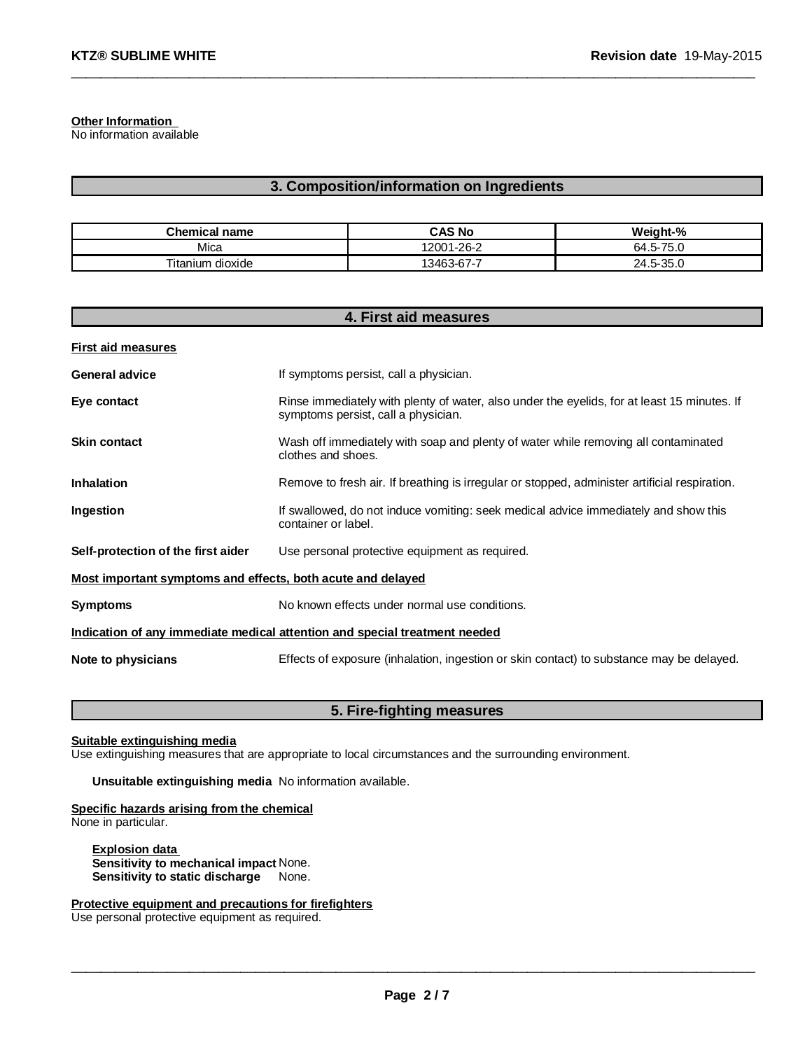**Other Information**

No information available

#### **3. Composition/information on Ingredients**

\_\_\_\_\_\_\_\_\_\_\_\_\_\_\_\_\_\_\_\_\_\_\_\_\_\_\_\_\_\_\_\_\_\_\_\_\_\_\_\_\_\_\_\_\_\_\_\_\_\_\_\_\_\_\_\_\_\_\_\_\_\_\_\_\_\_\_\_\_\_\_\_\_\_\_\_\_\_\_\_\_\_\_\_\_\_\_\_\_\_\_\_\_

| Chemical<br>name          | CAS No                 | Weight-%                           |
|---------------------------|------------------------|------------------------------------|
| Mica                      | $-1 - 26 - 2$<br>12001 | $-$<br>64<br>-<br>C 1 -C           |
| <br>ı dıoxıde<br>litanium | .3463-67-7<br>້        | $\Omega$<br>24<br>-<br>-35.ປ<br>∽- |

| 4. First aid measures                                                      |                                                                                                                                    |  |  |  |
|----------------------------------------------------------------------------|------------------------------------------------------------------------------------------------------------------------------------|--|--|--|
| <b>First aid measures</b>                                                  |                                                                                                                                    |  |  |  |
| <b>General advice</b>                                                      | If symptoms persist, call a physician.                                                                                             |  |  |  |
| Eye contact                                                                | Rinse immediately with plenty of water, also under the eyelids, for at least 15 minutes. If<br>symptoms persist, call a physician. |  |  |  |
| <b>Skin contact</b>                                                        | Wash off immediately with soap and plenty of water while removing all contaminated<br>clothes and shoes.                           |  |  |  |
| Inhalation                                                                 | Remove to fresh air. If breathing is irregular or stopped, administer artificial respiration.                                      |  |  |  |
| Ingestion                                                                  | If swallowed, do not induce vomiting: seek medical advice immediately and show this<br>container or label.                         |  |  |  |
| Self-protection of the first aider                                         | Use personal protective equipment as required.                                                                                     |  |  |  |
| <u>Most important symptoms and effects, both acute and delayed</u>         |                                                                                                                                    |  |  |  |
| <b>Symptoms</b>                                                            | No known effects under normal use conditions.                                                                                      |  |  |  |
| Indication of any immediate medical attention and special treatment needed |                                                                                                                                    |  |  |  |
| Note to physicians                                                         | Effects of exposure (inhalation, ingestion or skin contact) to substance may be delayed.                                           |  |  |  |

## **5. Fire-fighting measures**

**Suitable extinguishing media**

Use extinguishing measures that are appropriate to local circumstances and the surrounding environment.

#### **Unsuitable extinguishing media** No information available.

## **Specific hazards arising from the chemical**

None in particular.

**Explosion data Sensitivity to mechanical impact** None. **Sensitivity to static discharge** None.

**Protective equipment and precautions for firefighters**

Use personal protective equipment as required.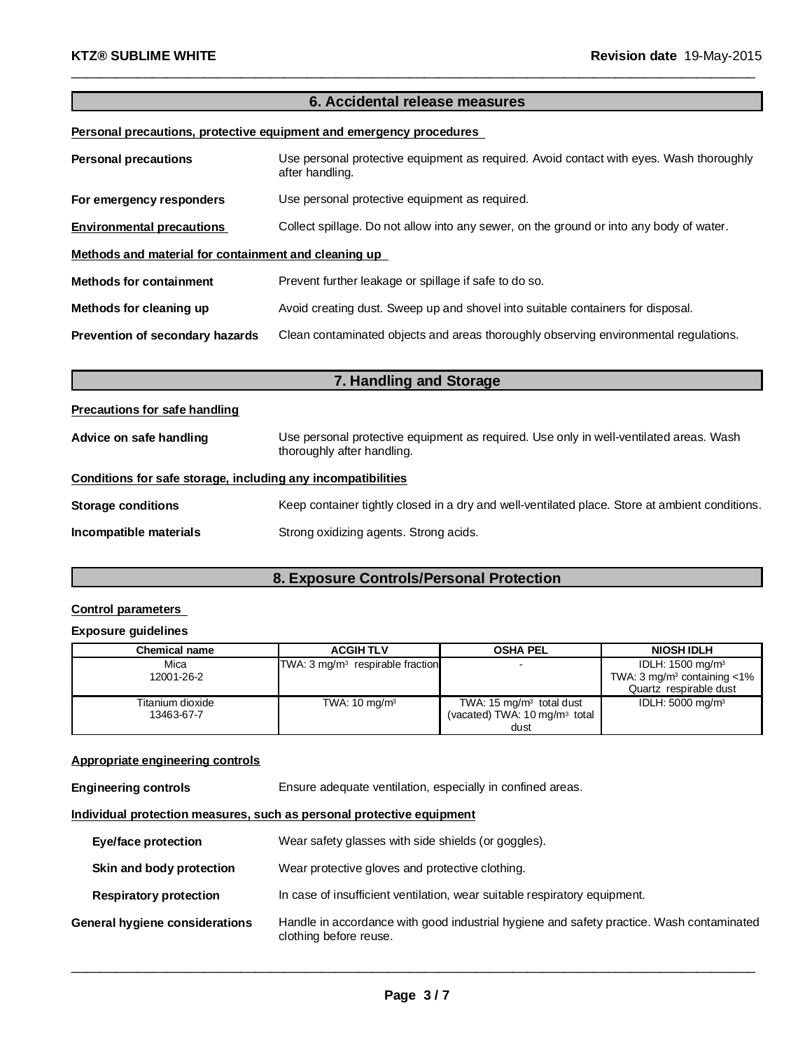# **6. Accidental release measures**

\_\_\_\_\_\_\_\_\_\_\_\_\_\_\_\_\_\_\_\_\_\_\_\_\_\_\_\_\_\_\_\_\_\_\_\_\_\_\_\_\_\_\_\_\_\_\_\_\_\_\_\_\_\_\_\_\_\_\_\_\_\_\_\_\_\_\_\_\_\_\_\_\_\_\_\_\_\_\_\_\_\_\_\_\_\_\_\_\_\_\_\_\_

#### **Personal precautions, protective equipment and emergency procedures**

| <b>Personal precautions</b>                          | Use personal protective equipment as required. Avoid contact with eyes. Wash thoroughly<br>after handling. |  |  |  |
|------------------------------------------------------|------------------------------------------------------------------------------------------------------------|--|--|--|
| For emergency responders                             | Use personal protective equipment as required.                                                             |  |  |  |
| <b>Environmental precautions</b>                     | Collect spillage. Do not allow into any sewer, on the ground or into any body of water.                    |  |  |  |
| Methods and material for containment and cleaning up |                                                                                                            |  |  |  |
| <b>Methods for containment</b>                       | Prevent further leakage or spillage if safe to do so.                                                      |  |  |  |
| Methods for cleaning up                              | Avoid creating dust. Sweep up and shovel into suitable containers for disposal.                            |  |  |  |
| Prevention of secondary hazards                      | Clean contaminated objects and areas thoroughly observing environmental regulations.                       |  |  |  |

| 7. Handling and Storage                                      |                                                                                                                      |  |  |  |
|--------------------------------------------------------------|----------------------------------------------------------------------------------------------------------------------|--|--|--|
| Precautions for safe handling                                |                                                                                                                      |  |  |  |
| Advice on safe handling                                      | Use personal protective equipment as required. Use only in well-ventilated areas. Wash<br>thoroughly after handling. |  |  |  |
| Conditions for safe storage, including any incompatibilities |                                                                                                                      |  |  |  |
| Storage conditions                                           | Keep container tightly closed in a dry and well-ventilated place. Store at ambient conditions.                       |  |  |  |
| Incompatible materials                                       | Strong oxidizing agents. Strong acids.                                                                               |  |  |  |

# **8. Exposure Controls/Personal Protection**

#### **Control parameters**

#### **Exposure guidelines**

| <b>Chemical name</b> | <b>ACGIHTLV</b>                              | <b>OSHA PEL</b>                             | <b>NIOSH IDLH</b>                            |
|----------------------|----------------------------------------------|---------------------------------------------|----------------------------------------------|
| Mica                 | TWA: 3 mg/m <sup>3</sup> respirable fraction |                                             | IDLH: $1500 \text{ mg/m}^3$                  |
| 12001-26-2           |                                              |                                             | TWA: $3 \text{ mg/m}^3$ containing $\lt 1\%$ |
|                      |                                              |                                             | Quartz respirable dust                       |
| Titanium dioxide     | TWA: $10 \text{ mg/m}^3$                     | TWA: $15 \text{ mg/m}$ total dust           | IDLH: $5000 \text{ mg/m}^3$                  |
| 13463-67-7           |                                              | (vacated) TWA: $10 \,\mathrm{mg/m^3}$ total |                                              |
|                      |                                              | dust                                        |                                              |

#### **Appropriate engineering controls**

**Engineering controls** Ensure adequate ventilation, especially in confined areas.

#### **Individual protection measures, such as personal protective equipment**

| Eye/face protection            | Wear safety glasses with side shields (or goggles).                                                                |
|--------------------------------|--------------------------------------------------------------------------------------------------------------------|
| Skin and body protection       | Wear protective gloves and protective clothing.                                                                    |
| <b>Respiratory protection</b>  | In case of insufficient ventilation, wear suitable respiratory equipment.                                          |
| General hygiene considerations | Handle in accordance with good industrial hygiene and safety practice. Wash contaminated<br>clothing before reuse. |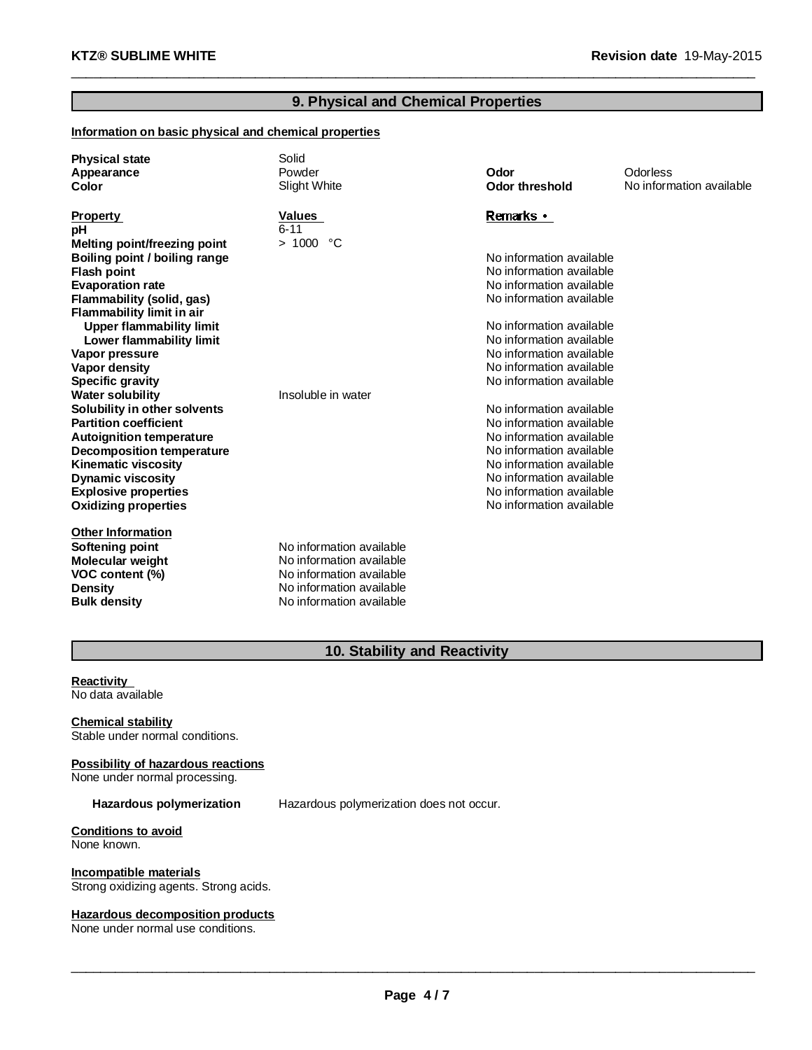# **9. Physical and Chemical Properties**

\_\_\_\_\_\_\_\_\_\_\_\_\_\_\_\_\_\_\_\_\_\_\_\_\_\_\_\_\_\_\_\_\_\_\_\_\_\_\_\_\_\_\_\_\_\_\_\_\_\_\_\_\_\_\_\_\_\_\_\_\_\_\_\_\_\_\_\_\_\_\_\_\_\_\_\_\_\_\_\_\_\_\_\_\_\_\_\_\_\_\_\_\_

#### **Information on basic physical and chemical properties**

| <b>Physical state</b><br>Appearance<br>Color | Solid<br>Powder<br>Slight White | Odor<br><b>Odor threshold</b> | Odorless<br>No information available |
|----------------------------------------------|---------------------------------|-------------------------------|--------------------------------------|
| <b>Property</b>                              | <b>Values</b>                   | Remarks •                     |                                      |
| рH                                           | $6 - 11$                        |                               |                                      |
| <b>Melting point/freezing point</b>          | > 1000 °C                       |                               |                                      |
| Boiling point / boiling range                |                                 | No information available      |                                      |
| <b>Flash point</b>                           |                                 | No information available      |                                      |
| <b>Evaporation rate</b>                      |                                 | No information available      |                                      |
| Flammability (solid, gas)                    |                                 | No information available      |                                      |
| Flammability limit in air                    |                                 |                               |                                      |
| <b>Upper flammability limit</b>              |                                 | No information available      |                                      |
| Lower flammability limit                     |                                 | No information available      |                                      |
| Vapor pressure                               |                                 | No information available      |                                      |
| <b>Vapor density</b>                         |                                 | No information available      |                                      |
| <b>Specific gravity</b>                      |                                 | No information available      |                                      |
| <b>Water solubility</b>                      | Insoluble in water              |                               |                                      |
| Solubility in other solvents                 |                                 | No information available      |                                      |
| <b>Partition coefficient</b>                 |                                 | No information available      |                                      |
| <b>Autoignition temperature</b>              |                                 | No information available      |                                      |
| Decomposition temperature                    |                                 | No information available      |                                      |
| <b>Kinematic viscosity</b>                   |                                 | No information available      |                                      |
| <b>Dynamic viscosity</b>                     |                                 | No information available      |                                      |
| <b>Explosive properties</b>                  |                                 | No information available      |                                      |
| <b>Oxidizing properties</b>                  |                                 | No information available      |                                      |
| <b>Other Information</b>                     |                                 |                               |                                      |
| Softening point                              | No information available        |                               |                                      |
| Molecular weight                             | No information available        |                               |                                      |
| VOC content (%)                              | No information available        |                               |                                      |
| Density                                      | No information available        |                               |                                      |
| <b>Bulk density</b>                          | No information available        |                               |                                      |

# **10. Stability and Reactivity**

#### **Reactivity** No data available

**Chemical stability** Stable under normal conditions.

# **Possibility of hazardous reactions**

None under normal processing.

**Hazardous polymerization** Hazardous polymerization does not occur.

**Conditions to avoid** None known.

**Incompatible materials** Strong oxidizing agents. Strong acids.

#### **Hazardous decomposition products**

None under normal use conditions.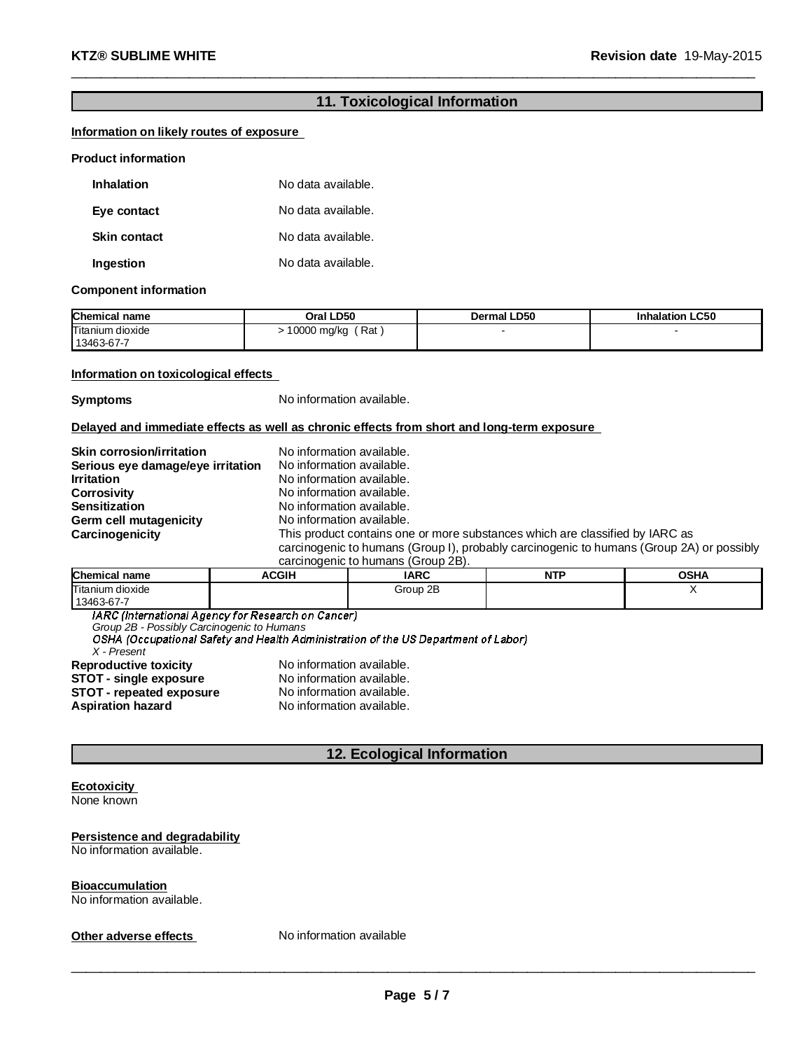# **11. Toxicological Information**

\_\_\_\_\_\_\_\_\_\_\_\_\_\_\_\_\_\_\_\_\_\_\_\_\_\_\_\_\_\_\_\_\_\_\_\_\_\_\_\_\_\_\_\_\_\_\_\_\_\_\_\_\_\_\_\_\_\_\_\_\_\_\_\_\_\_\_\_\_\_\_\_\_\_\_\_\_\_\_\_\_\_\_\_\_\_\_\_\_\_\_\_\_

#### **Information on likely routes of exposure**

#### **Product information**

| <b>Inhalation</b>   | No data available. |
|---------------------|--------------------|
| Eye contact         | No data available. |
| <b>Skin contact</b> | No data available. |
| Ingestion           | No data available. |

#### **Component information**

| <b>Chemical name</b>           | Oral LD50          | <b>Dermal LD50</b> | <b>Inhalation LC50</b> |
|--------------------------------|--------------------|--------------------|------------------------|
| Titanium dioxide<br>13463-67-7 | Rat<br>10000 mg/kg |                    |                        |

#### **Information on toxicological effects**

**Symptoms** No information available.

#### **Delayed and immediate effects as well as chronic effects from short and long-term exposure**

| Skin corrosion/irritation         | No information available.                                                                |
|-----------------------------------|------------------------------------------------------------------------------------------|
| Serious eye damage/eye irritation | No information available.                                                                |
| <b>Irritation</b>                 | No information available.                                                                |
| <b>Corrosivity</b>                | No information available.                                                                |
| <b>Sensitization</b>              | No information available.                                                                |
| Germ cell mutagenicity            | No information available.                                                                |
| Carcinogenicity                   | This product contains one or more substances which are classified by IARC as             |
|                                   | carcinogenic to humans (Group I), probably carcinogenic to humans (Group 2A) or possibly |
|                                   | carcinogenic to humane (Croup 2R)                                                        |

| <u>cardingue no continuitation divus z DI.</u> |              |             |     |             |  |  |
|------------------------------------------------|--------------|-------------|-----|-------------|--|--|
| <b>Chemical name</b>                           | <b>ACGIH</b> | <b>IARC</b> | NTF | <b>OSHA</b> |  |  |
| Titanium dioxide<br>13463-67-7                 |              | Group 2B    |     |             |  |  |

IARC (International Agency for Research on Cancer)

*Group 2B - Possibly Carcinogenic to Humans*

*X - Present* **Reproductive toxicity No information available.**<br>**STOT - single exposure No information available. STOT** - repeated exposure<br>Aspiration hazard

**STOT** - single exposure<br> **STOT** - repeated exposure<br>
No information available. **Aspiration hazard** No information available.

# **12. Ecological Information**

#### **Ecotoxicity** None known

# **Persistence and degradability**

No information available.

#### **Bioaccumulation**

No information available.

**Other adverse effects** No information available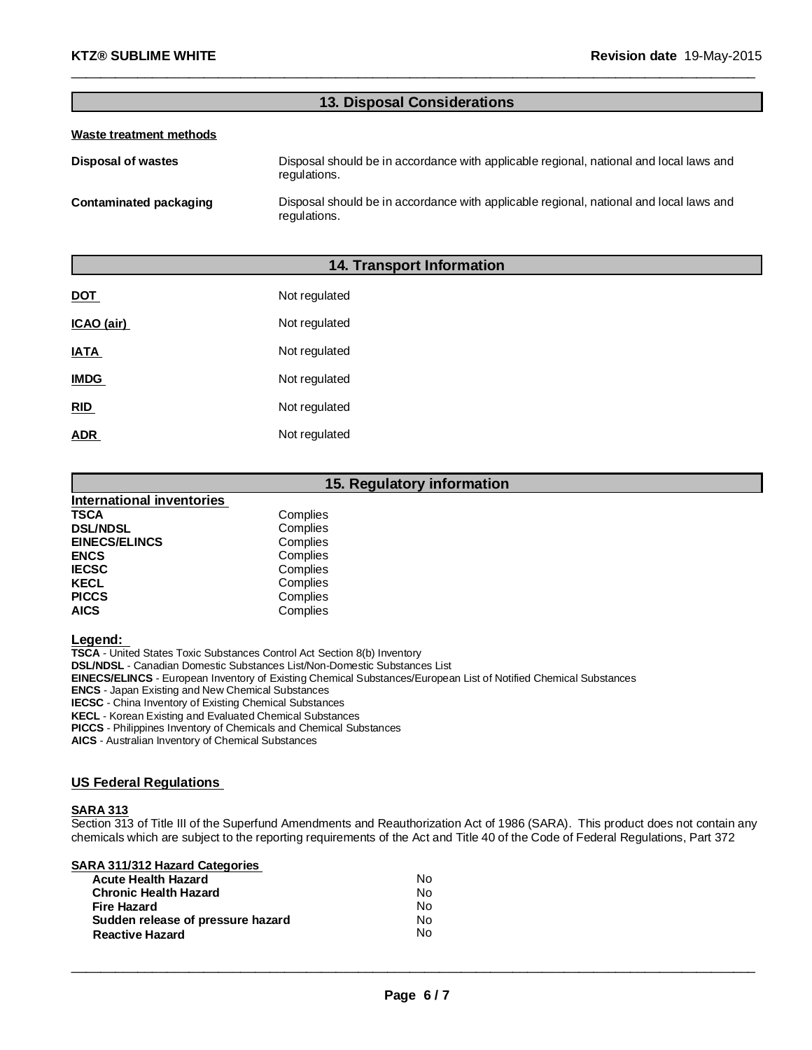# **13. Disposal Considerations**

\_\_\_\_\_\_\_\_\_\_\_\_\_\_\_\_\_\_\_\_\_\_\_\_\_\_\_\_\_\_\_\_\_\_\_\_\_\_\_\_\_\_\_\_\_\_\_\_\_\_\_\_\_\_\_\_\_\_\_\_\_\_\_\_\_\_\_\_\_\_\_\_\_\_\_\_\_\_\_\_\_\_\_\_\_\_\_\_\_\_\_\_\_

#### **Waste treatment methods**

| Disposal of wastes     | Disposal should be in accordance with applicable regional, national and local laws and<br>regulations. |
|------------------------|--------------------------------------------------------------------------------------------------------|
| Contaminated packaging | Disposal should be in accordance with applicable regional, national and local laws and<br>regulations. |

# **14. Transport Information**

| <b>DOT</b>  | Not regulated |
|-------------|---------------|
| ICAO (air)  | Not regulated |
| <b>IATA</b> | Not regulated |
| <b>IMDG</b> | Not regulated |
| <b>RID</b>  | Not regulated |
| <b>ADR</b>  | Not regulated |

#### **15. Regulatory information**

| Complies |
|----------|
| Complies |
| Complies |
| Complies |
| Complies |
| Complies |
| Complies |
| Complies |
|          |

**Legend:**

**TSCA** - United States Toxic Substances Control Act Section 8(b) Inventory **DSL/NDSL** - Canadian Domestic Substances List/Non-Domestic Substances List **EINECS/ELINCS** - European Inventory of Existing Chemical Substances/European List of Notified Chemical Substances **ENCS** - Japan Existing and New Chemical Substances **IECSC** - China Inventory of Existing Chemical Substances **KECL** - Korean Existing and Evaluated Chemical Substances **PICCS** - Philippines Inventory of Chemicals and Chemical Substances

**AICS** - Australian Inventory of Chemical Substances

# **US Federal Regulations**

#### **SARA 313**

Section 313 of Title III of the Superfund Amendments and Reauthorization Act of 1986 (SARA). This product does not contain any chemicals which are subject to the reporting requirements of the Act and Title 40 of the Code of Federal Regulations, Part 372

| <b>SARA 311/312 Hazard Categories</b> |  |  |  |
|---------------------------------------|--|--|--|
|                                       |  |  |  |

| <b>Acute Health Hazard</b>        | N٥ |
|-----------------------------------|----|
| <b>Chronic Health Hazard</b>      | Nο |
| Fire Hazard                       | Nο |
| Sudden release of pressure hazard | Nο |
| <b>Reactive Hazard</b>            | Nο |
|                                   |    |